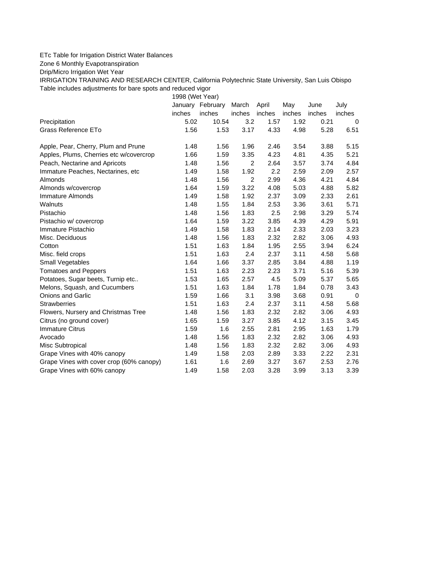## ETc Table for Irrigation District Water Balances

Zone 6 Monthly Evapotranspiration

Drip/Micro Irrigation Wet Year

IRRIGATION TRAINING AND RESEARCH CENTER, California Polytechnic State University, San Luis Obispo Table includes adjustments for bare spots and reduced vigor

1998 (Wet Year)

|                                          | January | February | March          | April  | May    | June   | July        |
|------------------------------------------|---------|----------|----------------|--------|--------|--------|-------------|
|                                          | inches  | inches   | inches         | inches | inches | inches | inches      |
| Precipitation                            | 5.02    | 10.54    | 3.2            | 1.57   | 1.92   | 0.21   | 0           |
| Grass Reference ETo                      | 1.56    | 1.53     | 3.17           | 4.33   | 4.98   | 5.28   | 6.51        |
| Apple, Pear, Cherry, Plum and Prune      | 1.48    | 1.56     | 1.96           | 2.46   | 3.54   | 3.88   | 5.15        |
| Apples, Plums, Cherries etc w/covercrop  | 1.66    | 1.59     | 3.35           | 4.23   | 4.81   | 4.35   | 5.21        |
| Peach, Nectarine and Apricots            | 1.48    | 1.56     | $\overline{2}$ | 2.64   | 3.57   | 3.74   | 4.84        |
| Immature Peaches, Nectarines, etc        | 1.49    | 1.58     | 1.92           | 2.2    | 2.59   | 2.09   | 2.57        |
| Almonds                                  | 1.48    | 1.56     | 2              | 2.99   | 4.36   | 4.21   | 4.84        |
| Almonds w/covercrop                      | 1.64    | 1.59     | 3.22           | 4.08   | 5.03   | 4.88   | 5.82        |
| Immature Almonds                         | 1.49    | 1.58     | 1.92           | 2.37   | 3.09   | 2.33   | 2.61        |
| Walnuts                                  | 1.48    | 1.55     | 1.84           | 2.53   | 3.36   | 3.61   | 5.71        |
| Pistachio                                | 1.48    | 1.56     | 1.83           | 2.5    | 2.98   | 3.29   | 5.74        |
| Pistachio w/ covercrop                   | 1.64    | 1.59     | 3.22           | 3.85   | 4.39   | 4.29   | 5.91        |
| Immature Pistachio                       | 1.49    | 1.58     | 1.83           | 2.14   | 2.33   | 2.03   | 3.23        |
| Misc. Deciduous                          | 1.48    | 1.56     | 1.83           | 2.32   | 2.82   | 3.06   | 4.93        |
| Cotton                                   | 1.51    | 1.63     | 1.84           | 1.95   | 2.55   | 3.94   | 6.24        |
| Misc. field crops                        | 1.51    | 1.63     | 2.4            | 2.37   | 3.11   | 4.58   | 5.68        |
| <b>Small Vegetables</b>                  | 1.64    | 1.66     | 3.37           | 2.85   | 3.84   | 4.88   | 1.19        |
| <b>Tomatoes and Peppers</b>              | 1.51    | 1.63     | 2.23           | 2.23   | 3.71   | 5.16   | 5.39        |
| Potatoes, Sugar beets, Turnip etc        | 1.53    | 1.65     | 2.57           | 4.5    | 5.09   | 5.37   | 5.65        |
| Melons, Squash, and Cucumbers            | 1.51    | 1.63     | 1.84           | 1.78   | 1.84   | 0.78   | 3.43        |
| <b>Onions and Garlic</b>                 | 1.59    | 1.66     | 3.1            | 3.98   | 3.68   | 0.91   | $\mathbf 0$ |
| <b>Strawberries</b>                      | 1.51    | 1.63     | 2.4            | 2.37   | 3.11   | 4.58   | 5.68        |
| Flowers, Nursery and Christmas Tree      | 1.48    | 1.56     | 1.83           | 2.32   | 2.82   | 3.06   | 4.93        |
| Citrus (no ground cover)                 | 1.65    | 1.59     | 3.27           | 3.85   | 4.12   | 3.15   | 3.45        |
| <b>Immature Citrus</b>                   | 1.59    | 1.6      | 2.55           | 2.81   | 2.95   | 1.63   | 1.79        |
| Avocado                                  | 1.48    | 1.56     | 1.83           | 2.32   | 2.82   | 3.06   | 4.93        |
| Misc Subtropical                         | 1.48    | 1.56     | 1.83           | 2.32   | 2.82   | 3.06   | 4.93        |
| Grape Vines with 40% canopy              | 1.49    | 1.58     | 2.03           | 2.89   | 3.33   | 2.22   | 2.31        |
| Grape Vines with cover crop (60% canopy) | 1.61    | 1.6      | 2.69           | 3.27   | 3.67   | 2.53   | 2.76        |
| Grape Vines with 60% canopy              | 1.49    | 1.58     | 2.03           | 3.28   | 3.99   | 3.13   | 3.39        |